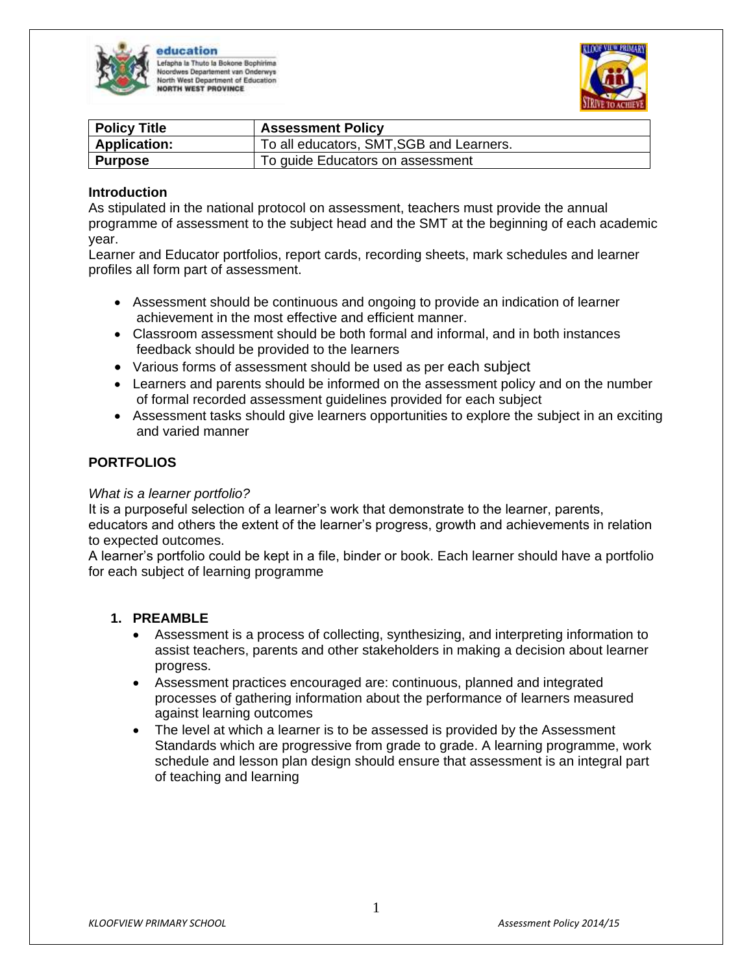

education efapha la Thuto la Bokone Bophirima es Departement van Onderwys orth West Department of Education ORTH WEST PROVINCE



| <b>Policy Title</b> | <b>Assessment Policy</b>                 |
|---------------------|------------------------------------------|
| <b>Application:</b> | To all educators, SMT, SGB and Learners. |
| Purpose             | To guide Educators on assessment         |

#### **Introduction**

As stipulated in the national protocol on assessment, teachers must provide the annual programme of assessment to the subject head and the SMT at the beginning of each academic year.

Learner and Educator portfolios, report cards, recording sheets, mark schedules and learner profiles all form part of assessment.

- Assessment should be continuous and ongoing to provide an indication of learner achievement in the most effective and efficient manner.
- Classroom assessment should be both formal and informal, and in both instances feedback should be provided to the learners
- Various forms of assessment should be used as per each subject
- Learners and parents should be informed on the assessment policy and on the number of formal recorded assessment guidelines provided for each subject
- Assessment tasks should give learners opportunities to explore the subject in an exciting and varied manner

#### **PORTFOLIOS**

#### *What is a learner portfolio?*

It is a purposeful selection of a learner's work that demonstrate to the learner, parents, educators and others the extent of the learner's progress, growth and achievements in relation to expected outcomes.

A learner's portfolio could be kept in a file, binder or book. Each learner should have a portfolio for each subject of learning programme

#### **1. PREAMBLE**

- Assessment is a process of collecting, synthesizing, and interpreting information to assist teachers, parents and other stakeholders in making a decision about learner progress.
- Assessment practices encouraged are: continuous, planned and integrated processes of gathering information about the performance of learners measured against learning outcomes
- The level at which a learner is to be assessed is provided by the Assessment Standards which are progressive from grade to grade. A learning programme, work schedule and lesson plan design should ensure that assessment is an integral part of teaching and learning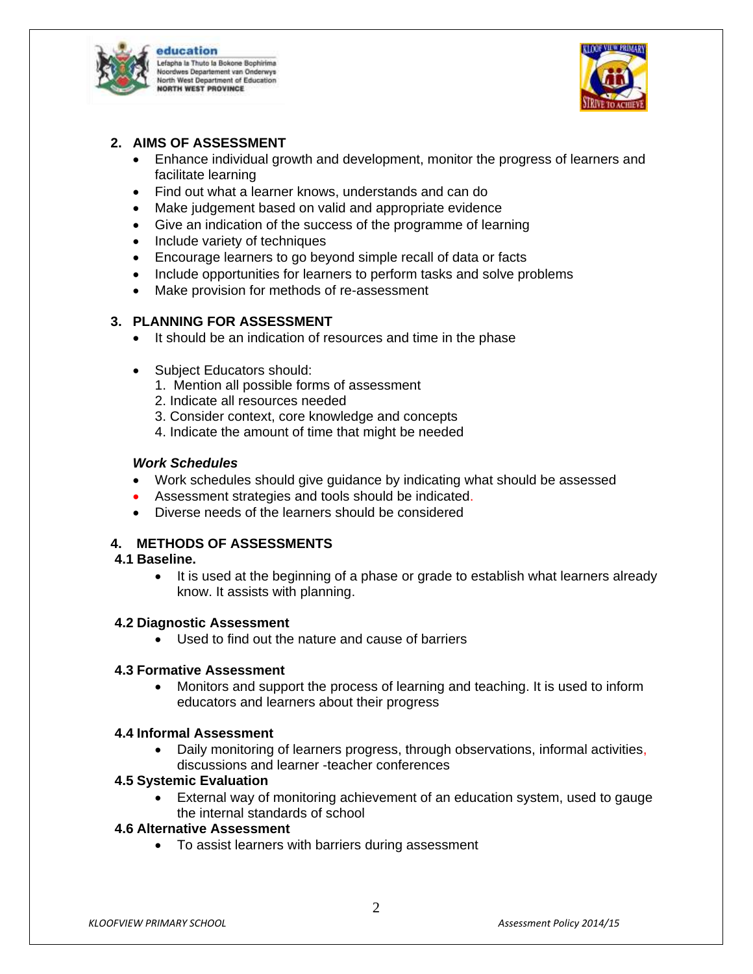

education Lefapha la Thuto la Bokone Bophirima es Departement van Onderwys lorth West Department of Education ORTH WEST PROVINCE



# **2. AIMS OF ASSESSMENT**

- Enhance individual growth and development, monitor the progress of learners and facilitate learning
- Find out what a learner knows, understands and can do
- Make judgement based on valid and appropriate evidence
- Give an indication of the success of the programme of learning
- Include variety of techniques
- Encourage learners to go beyond simple recall of data or facts
- Include opportunities for learners to perform tasks and solve problems
- Make provision for methods of re-assessment

# **3. PLANNING FOR ASSESSMENT**

- It should be an indication of resources and time in the phase
- Subject Educators should:
	- 1. Mention all possible forms of assessment
	- 2. Indicate all resources needed
	- 3. Consider context, core knowledge and concepts
	- 4. Indicate the amount of time that might be needed

## *Work Schedules*

- Work schedules should give guidance by indicating what should be assessed
- Assessment strategies and tools should be indicated.
- Diverse needs of the learners should be considered

# **4. METHODS OF ASSESSMENTS**

## **4.1 Baseline.**

 It is used at the beginning of a phase or grade to establish what learners already know. It assists with planning.

## **4.2 Diagnostic Assessment**

Used to find out the nature and cause of barriers

## **4.3 Formative Assessment**

 Monitors and support the process of learning and teaching. It is used to inform educators and learners about their progress

## **4.4 Informal Assessment**

 Daily monitoring of learners progress, through observations, informal activities, discussions and learner -teacher conferences

## **4.5 Systemic Evaluation**

 External way of monitoring achievement of an education system, used to gauge the internal standards of school

## **4.6 Alternative Assessment**

To assist learners with barriers during assessment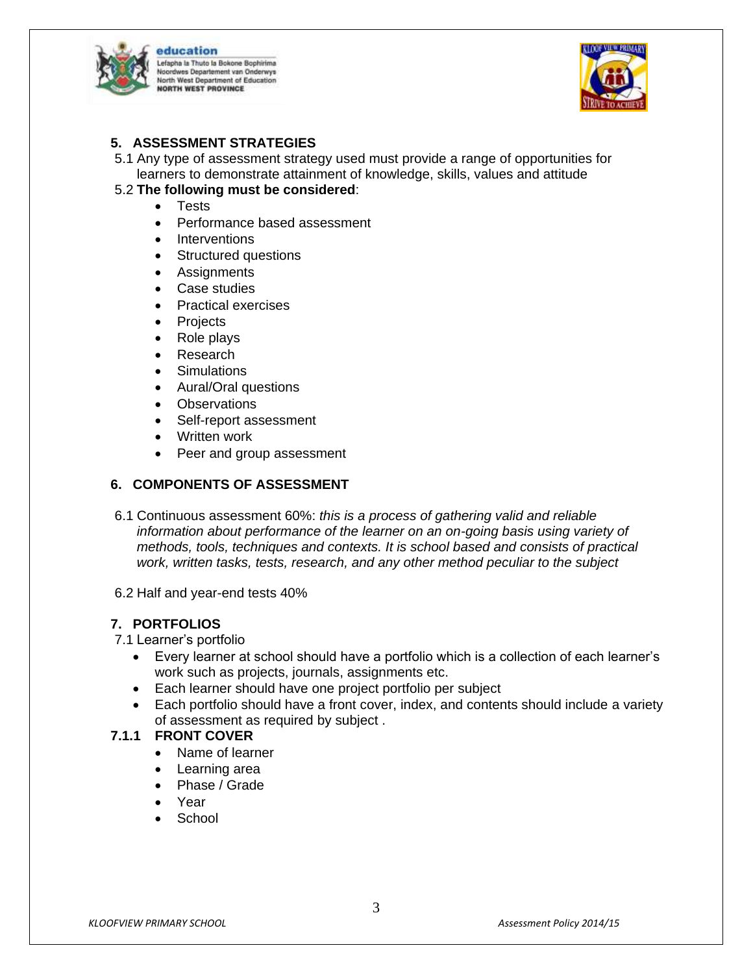

education Lefapha la Thuto la Bokone Bophirima es Departement van Onderwys **Jorth West Department of Education** ORTH WEST PROVINCE



## **5. ASSESSMENT STRATEGIES**

5.1 Any type of assessment strategy used must provide a range of opportunities for learners to demonstrate attainment of knowledge, skills, values and attitude

## 5.2 **The following must be considered**:

- Tests
- Performance based assessment
- Interventions
- Structured questions
- **Assignments**
- Case studies
- Practical exercises
- Projects
- Role plays
- Research
- Simulations
- Aural/Oral questions
- Observations
- Self-report assessment
- Written work
- Peer and group assessment

# **6. COMPONENTS OF ASSESSMENT**

- 6.1 Continuous assessment 60%: *this is a process of gathering valid and reliable information about performance of the learner on an on-going basis using variety of methods, tools, techniques and contexts. It is school based and consists of practical work, written tasks, tests, research, and any other method peculiar to the subject*
- 6.2 Half and year-end tests 40%

## **7. PORTFOLIOS**

#### 7.1 Learner's portfolio

- Every learner at school should have a portfolio which is a collection of each learner's work such as projects, journals, assignments etc.
- Each learner should have one project portfolio per subject
- Each portfolio should have a front cover, index, and contents should include a variety of assessment as required by subject .

## **7.1.1 FRONT COVER**

- Name of learner
- Learning area
- Phase / Grade
- Year
- School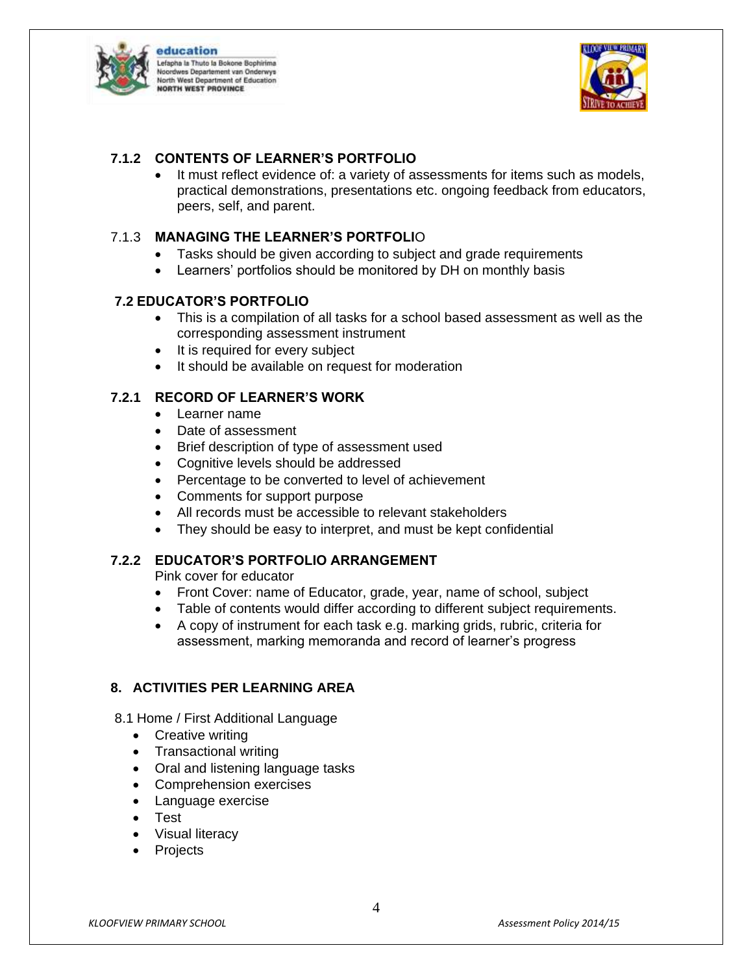

education Lefapha la Thuto la Bokone Bophirima es Departement van Onderwys orth West Department of Education ORTH WEST PROVINCE



# **7.1.2 CONTENTS OF LEARNER'S PORTFOLIO**

 It must reflect evidence of: a variety of assessments for items such as models, practical demonstrations, presentations etc. ongoing feedback from educators, peers, self, and parent.

# 7.1.3 **MANAGING THE LEARNER'S PORTFOLI**O

- Tasks should be given according to subject and grade requirements
- Learners' portfolios should be monitored by DH on monthly basis

# **7.2 EDUCATOR'S PORTFOLIO**

- This is a compilation of all tasks for a school based assessment as well as the corresponding assessment instrument
- It is required for every subject
- It should be available on request for moderation

# **7.2.1 RECORD OF LEARNER'S WORK**

- Learner name
- Date of assessment
- Brief description of type of assessment used
- Cognitive levels should be addressed
- Percentage to be converted to level of achievement
- Comments for support purpose
- All records must be accessible to relevant stakeholders
- They should be easy to interpret, and must be kept confidential

## **7.2.2 EDUCATOR'S PORTFOLIO ARRANGEMENT**

Pink cover for educator

- Front Cover: name of Educator, grade, year, name of school, subject
- Table of contents would differ according to different subject requirements.
- A copy of instrument for each task e.g. marking grids, rubric, criteria for assessment, marking memoranda and record of learner's progress

## **8. ACTIVITIES PER LEARNING AREA**

- 8.1 Home / First Additional Language
	- Creative writing
	- Transactional writing
	- Oral and listening language tasks
	- Comprehension exercises
	- Language exercise
	- Test
	- Visual literacy
	- Projects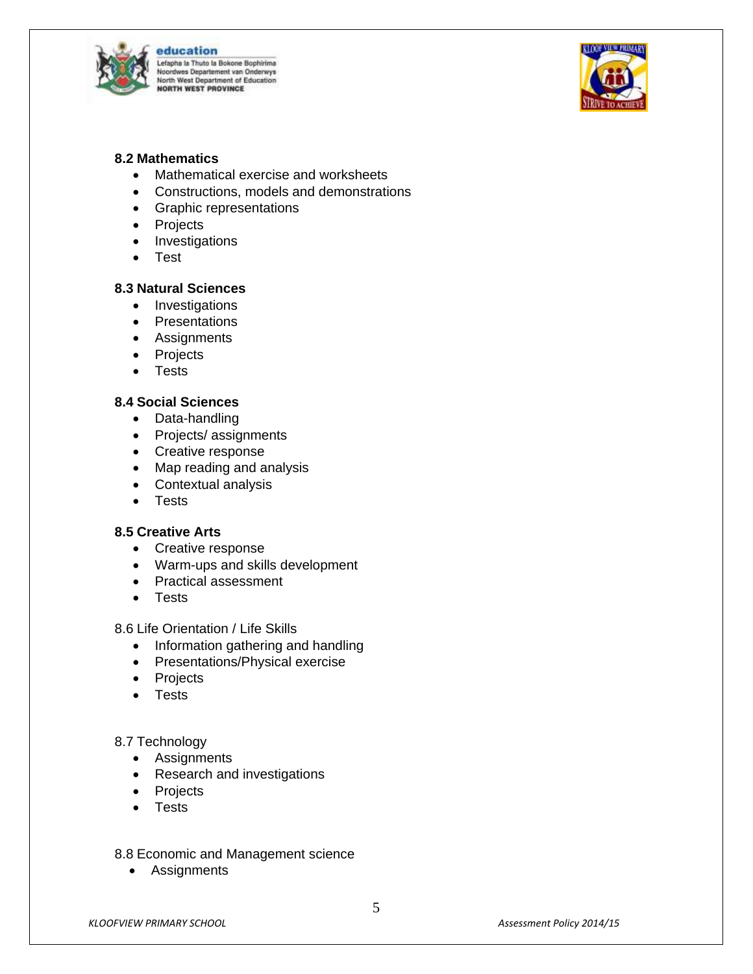

education Lefapha la Thuto la Bokone Bophirima ves Departement van Onderwys **North West Department of Education**<br>NORTH WEST PROVINCE



#### **8.2 Mathematics**

- Mathematical exercise and worksheets
- Constructions, models and demonstrations
- Graphic representations
- Projects
- Investigations
- Test

#### **8.3 Natural Sciences**

- Investigations
- Presentations
- Assignments
- Projects
- Tests

## **8.4 Social Sciences**

- Data-handling
- Projects/ assignments
- Creative response
- Map reading and analysis
- Contextual analysis
- Tests

#### **8.5 Creative Arts**

- Creative response
- Warm-ups and skills development
- Practical assessment
- **•** Tests

8.6 Life Orientation / Life Skills

- Information gathering and handling
- Presentations/Physical exercise
- Projects
- Tests

#### 8.7 Technology

- Assignments
- Research and investigations
- Projects
- Tests
- 8.8 Economic and Management science
	- Assignments